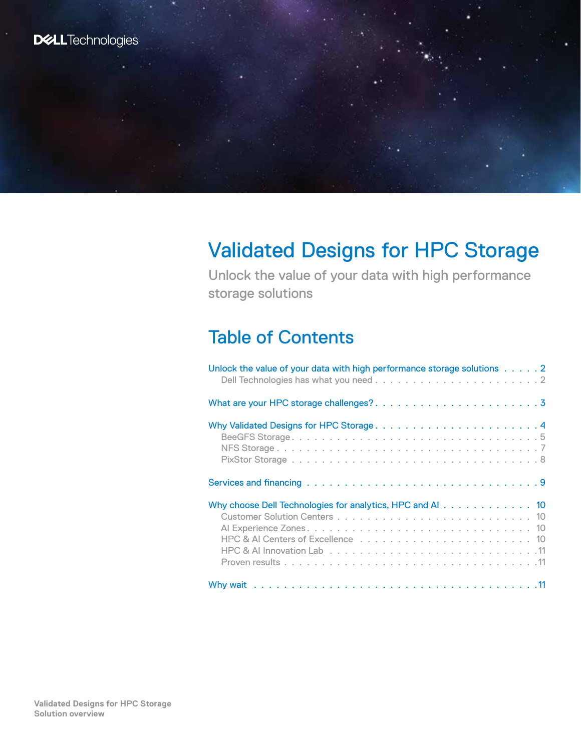# Validated Designs for HPC Storage

Unlock the value of your data with high performance storage solutions

# Table of Contents

| Unlock the value of your data with high performance storage solutions 2 |
|-------------------------------------------------------------------------|
|                                                                         |
| Why Validated Designs for HPC Storage 4                                 |
|                                                                         |
|                                                                         |
| Why choose Dell Technologies for analytics, HPC and AI 10               |
|                                                                         |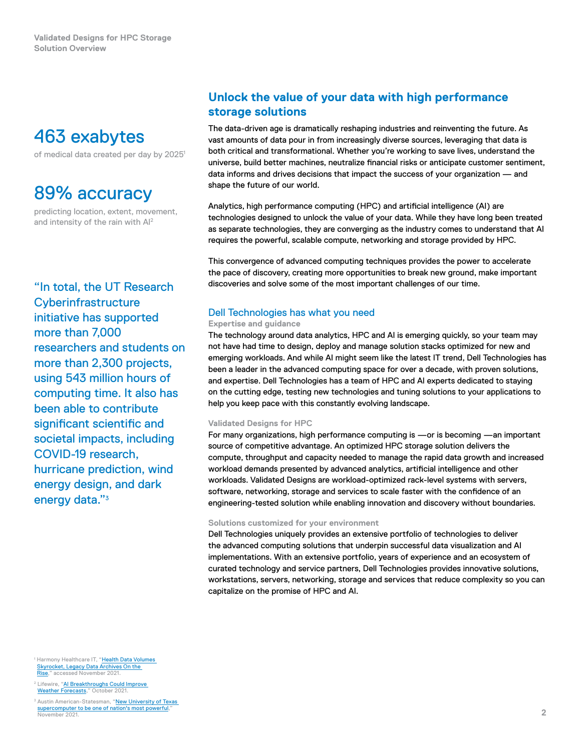# <span id="page-1-0"></span>463 exabytes

of medical data created per day by 2025<sup>1</sup>

# 89% accuracy

predicting location, extent, movement, and intensity of the rain with AI2

"In total, the UT Research **Cyberinfrastructure** initiative has supported more than 7,000 researchers and students on more than 2,300 projects, using 543 million hours of computing time. It also has been able to contribute significant scientific and societal impacts, including COVID-19 research, hurricane prediction, wind energy design, and dark energy data."<sup>3</sup>

## **Unlock the value of your data with high performance storage solutions**

The data‑driven age is dramatically reshaping industries and reinventing the future. As vast amounts of data pour in from increasingly diverse sources, leveraging that data is both critical and transformational. Whether you're working to save lives, understand the universe, build better machines, neutralize financial risks or anticipate customer sentiment, data informs and drives decisions that impact the success of your organization — and shape the future of our world.

Analytics, high performance computing (HPC) and artificial intelligence (AI) are technologies designed to unlock the value of your data. While they have long been treated as separate technologies, they are converging as the industry comes to understand that AI requires the powerful, scalable compute, networking and storage provided by HPC.

This convergence of advanced computing techniques provides the power to accelerate the pace of discovery, creating more opportunities to break new ground, make important discoveries and solve some of the most important challenges of our time.

### Dell Technologies has what you need

#### **Expertise and guidance**

The technology around data analytics, HPC and AI is emerging quickly, so your team may not have had time to design, deploy and manage solution stacks optimized for new and emerging workloads. And while AI might seem like the latest IT trend, Dell Technologies has been a leader in the advanced computing space for over a decade, with proven solutions, and expertise. Dell Technologies has a team of HPC and AI experts dedicated to staying on the cutting edge, testing new technologies and tuning solutions to your applications to help you keep pace with this constantly evolving landscape.

#### **Validated Designs for HPC**

For many organizations, high performance computing is —or is becoming —an important source of competitive advantage. An optimized HPC storage solution delivers the compute, throughput and capacity needed to manage the rapid data growth and increased workload demands presented by advanced analytics, artificial intelligence and other workloads. Validated Designs are workload‑optimized rack‑level systems with servers, software, networking, storage and services to scale faster with the confidence of an engineering-tested solution while enabling innovation and discovery without boundaries.

#### **Solutions customized for your environment**

Dell Technologies uniquely provides an extensive portfolio of technologies to deliver the advanced computing solutions that underpin successful data visualization and AI implementations. With an extensive portfolio, years of experience and an ecosystem of curated technology and service partners, Dell Technologies provides innovative solutions, workstations, servers, networking, storage and services that reduce complexity so you can capitalize on the promise of HPC and AI.

<sup>1</sup> Harmony Healthcare IT, "<mark>Health Data Volumes</mark> <mark>Skyrocket, Legacy Data Archives On the</mark><br><mark>[Rise,](https://harmonyhit.com/health-data-volumes-skyrocket-legacy-data-archives-rise-hie/#)</mark>" accessed November 2021.

<sup>2</sup> Lifewire, "<mark>AI Breakthroughs Could Improve</mark><br>[Weather Forecasts](https://www.lifewire.com/ai-breakthroughs-could-improve-weather-forecasts-5205049)," October 2021.

 $^{\rm 3}$  Austin American-Statesman, " $\,$ New University of Texas [supercomputer to be one of nation's most powerful,](https://www.statesman.com/story/business/2021/11/03/ut-austin-university-texas-designs-powerful-lonestar-6-supercomputer/6256074001/) November 2021.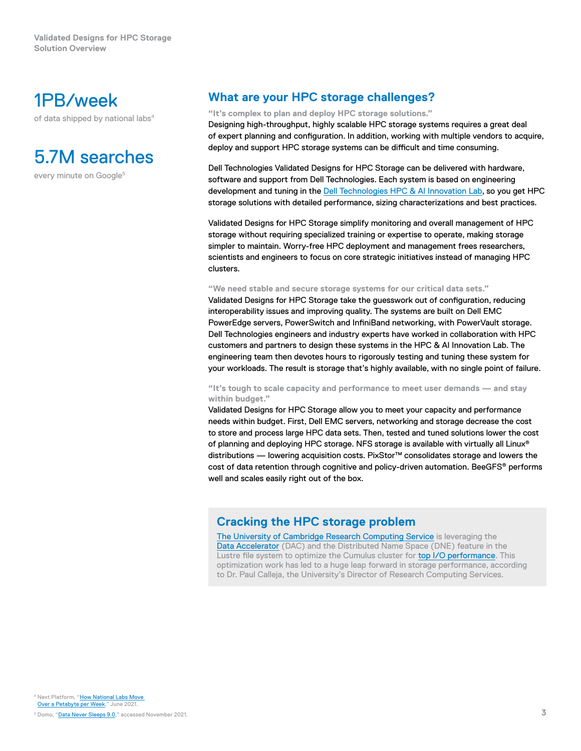## <span id="page-2-0"></span>1PB/week

of data shipped by national labs<sup>4</sup>

# 5.7M searches

every minute on Google<sup>5</sup>

## **What are your HPC storage challenges?**

**"It's complex to plan and deploy HPC storage solutions."**

Designing high‑throughput, highly scalable HPC storage systems requires a great deal of expert planning and configuration. In addition, working with multiple vendors to acquire, deploy and support HPC storage systems can be difficult and time consuming.

Dell Technologies Validated Designs for HPC Storage can be delivered with hardware, software and support from Dell Technologies. Each system is based on engineering development and tuning in the [Dell Technologies HPC & AI Innovation Lab](http://delltechnologies.com/innovationlab), so you get HPC storage solutions with detailed performance, sizing characterizations and best practices.

Validated Designs for HPC Storage simplify monitoring and overall management of HPC storage without requiring specialized training or expertise to operate, making storage simpler to maintain. Worry-free HPC deployment and management frees researchers, scientists and engineers to focus on core strategic initiatives instead of managing HPC clusters.

#### **"We need stable and secure storage systems for our critical data sets."**

Validated Designs for HPC Storage take the guesswork out of configuration, reducing interoperability issues and improving quality. The systems are built on Dell EMC PowerEdge servers, PowerSwitch and InfiniBand networking, with PowerVault storage. Dell Technologies engineers and industry experts have worked in collaboration with HPC customers and partners to design these systems in the HPC & AI Innovation Lab. The engineering team then devotes hours to rigorously testing and tuning these system for your workloads. The result is storage that's highly available, with no single point of failure.

#### **"It's tough to scale capacity and performance to meet user demands — and stay within budget."**

Validated Designs for HPC Storage allow you to meet your capacity and performance needs within budget. First, Dell EMC servers, networking and storage decrease the cost to store and process large HPC data sets. Then, tested and tuned solutions lower the cost of planning and deploying HPC storage. NFS storage is available with virtually all Linux® distributions — lowering acquisition costs. PixStor™ consolidates storage and lowers the cost of data retention through cognitive and policy-driven automation. BeeGFS<sup>®</sup> performs well and scales easily right out of the box.

### **Cracking the HPC storage problem**

[The University of Cambridge Research Computing Service](https://www.dellemc.com/resources/en-us/asset/customer-profiles-case-studies/products/ready-solutions/dell-cambridge-dac-case-study.pdf) is leveraging the [Data Accelerator](https://www.dellemc.com/resources/en-us/asset/white-papers/products/ready-solutions/dell-data-accelerator-cambridge.pdf) (DAC) and the Distributed Name Space (DNE) feature in the Lustre file system to optimize the Cumulus cluster for [top I/O performance](https://www.vi4io.org/io500/list/19-06/full?fields=information__system,information__institution,information__storage_vendor,information__filesystem_type,information__client_nodes,information__client_total_procs,io500__score,io500__bw,io500__md,information__data&equation=&sort_asc=false&sort_by=io500__score&radarmax=6&query=). This optimization work has led to a huge leap forward in storage performance, according to Dr. Paul Calleja, the University's Director of Research Computing Services.

<sup>4</sup> Next Platform, "<mark>How National Labs Move</mark><br>Over a Petabyte per Week," June 2021.

5 Domo, ["Data Never Sleeps 9.0](https://web-assets.domo.com/blog/wp-content/uploads/2021/09/data-never-sleeps-9.0-1200px-1.png)," accessed November 2021.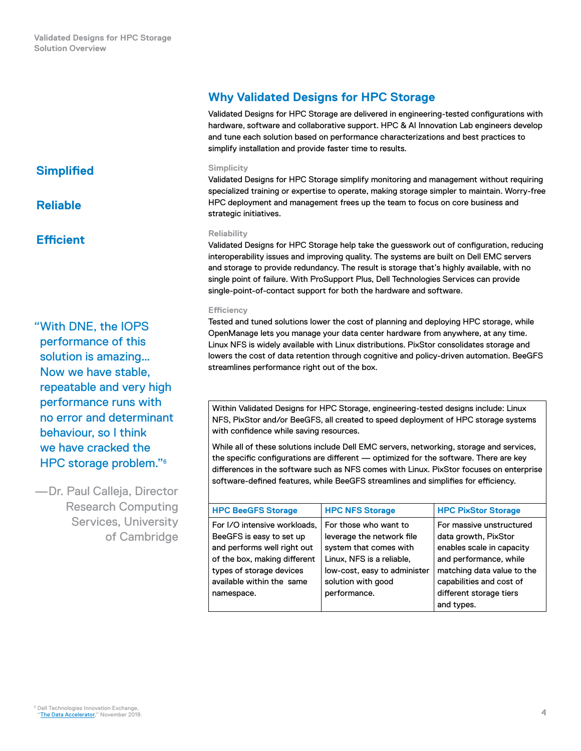<span id="page-3-0"></span>**Simplified**

**Reliable**

## **Efficient**

"With DNE, the IOPS performance of this solution is amazing… Now we have stable, repeatable and very high performance runs with no error and determinant behaviour, so I think we have cracked the HPC storage problem."6

—Dr. Paul Calleja, Director Research Computing Services, University of Cambridge

## **Why Validated Designs for HPC Storage**

Validated Designs for HPC Storage are delivered in engineering-tested configurations with hardware, software and collaborative support. HPC & AI Innovation Lab engineers develop and tune each solution based on performance characterizations and best practices to simplify installation and provide faster time to results.

#### **Simplicity**

Validated Designs for HPC Storage simplify monitoring and management without requiring specialized training or expertise to operate, making storage simpler to maintain. Worry-free HPC deployment and management frees up the team to focus on core business and strategic initiatives.

#### **Reliability**

Validated Designs for HPC Storage help take the guesswork out of configuration, reducing interoperability issues and improving quality. The systems are built on Dell EMC servers and storage to provide redundancy. The result is storage that's highly available, with no single point of failure. With ProSupport Plus, Dell Technologies Services can provide single-point-of-contact support for both the hardware and software.

#### **Efficiency**

Tested and tuned solutions lower the cost of planning and deploying HPC storage, while OpenManage lets you manage your data center hardware from anywhere, at any time. Linux NFS is widely available with Linux distributions. PixStor consolidates storage and lowers the cost of data retention through cognitive and policy-driven automation. BeeGFS streamlines performance right out of the box.

Within Validated Designs for HPC Storage, engineering-tested designs include: Linux NFS, PixStor and/or BeeGFS, all created to speed deployment of HPC storage systems with confidence while saving resources.

While all of these solutions include Dell EMC servers, networking, storage and services, the specific configurations are different — optimized for the software. There are key differences in the software such as NFS comes with Linux. PixStor focuses on enterprise software-defined features, while BeeGFS streamlines and simplifies for efficiency.

|  | <b>HPC BeeGFS Storage</b>                                                                                                                                                                      | <b>HPC NFS Storage</b>                                                                                                                                                          | <b>HPC PixStor Storage</b>                                                                                                                                                                                 |
|--|------------------------------------------------------------------------------------------------------------------------------------------------------------------------------------------------|---------------------------------------------------------------------------------------------------------------------------------------------------------------------------------|------------------------------------------------------------------------------------------------------------------------------------------------------------------------------------------------------------|
|  | For I/O intensive workloads,<br>BeeGFS is easy to set up<br>and performs well right out<br>of the box, making different<br>types of storage devices<br>available within the same<br>namespace. | For those who want to<br>leverage the network file<br>system that comes with<br>Linux, NFS is a reliable,<br>low-cost, easy to administer<br>solution with good<br>performance. | For massive unstructured<br>data growth, PixStor<br>enables scale in capacity<br>and performance, while<br>matching data value to the<br>capabilities and cost of<br>different storage tiers<br>and types. |
|  |                                                                                                                                                                                                |                                                                                                                                                                                 |                                                                                                                                                                                                            |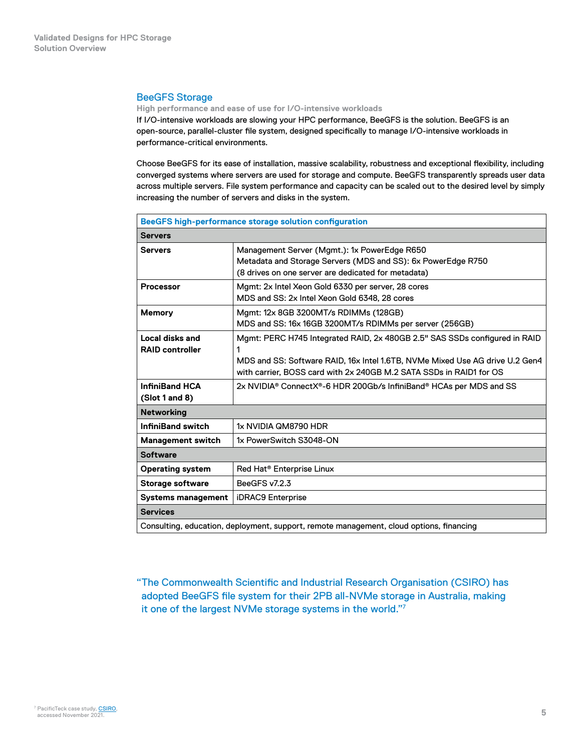#### <span id="page-4-0"></span>BeeGFS Storage

**High performance and ease of use for I/O‑intensive workloads**

If I/O‑intensive workloads are slowing your HPC performance, BeeGFS is the solution. BeeGFS is an open-source, parallel-cluster file system, designed specifically to manage I/O-intensive workloads in performance‑critical environments.

Choose BeeGFS for its ease of installation, massive scalability, robustness and exceptional flexibility, including converged systems where servers are used for storage and compute. BeeGFS transparently spreads user data across multiple servers. File system performance and capacity can be scaled out to the desired level by simply increasing the number of servers and disks in the system.

| <b>BeeGFS high-performance storage solution configuration</b>                           |                                                                                                                                                                                                                                   |  |
|-----------------------------------------------------------------------------------------|-----------------------------------------------------------------------------------------------------------------------------------------------------------------------------------------------------------------------------------|--|
| <b>Servers</b>                                                                          |                                                                                                                                                                                                                                   |  |
| <b>Servers</b>                                                                          | Management Server (Mgmt.): 1x PowerEdge R650<br>Metadata and Storage Servers (MDS and SS): 6x PowerEdge R750<br>(8 drives on one server are dedicated for metadata)                                                               |  |
| <b>Processor</b>                                                                        | Mgmt: 2x Intel Xeon Gold 6330 per server, 28 cores<br>MDS and SS: 2x Intel Xeon Gold 6348, 28 cores                                                                                                                               |  |
| <b>Memory</b>                                                                           | Mgmt: 12x 8GB 3200MT/s RDIMMs (128GB)<br>MDS and SS: 16x 16GB 3200MT/s RDIMMs per server (256GB)                                                                                                                                  |  |
| Local disks and<br><b>RAID controller</b>                                               | Mgmt: PERC H745 Integrated RAID, 2x 480GB 2.5" SAS SSDs configured in RAID<br>MDS and SS: Software RAID, 16x Intel 1.6TB, NVMe Mixed Use AG drive U.2 Gen4<br>with carrier. BOSS card with 2x 240GB M.2 SATA SSDs in RAID1 for OS |  |
| <b>InfiniBand HCA</b><br>(Slot 1 and 8)                                                 | 2x NVIDIA <sup>®</sup> ConnectX®-6 HDR 200Gb/s InfiniBand® HCAs per MDS and SS                                                                                                                                                    |  |
| <b>Networking</b>                                                                       |                                                                                                                                                                                                                                   |  |
| <b>InfiniBand switch</b>                                                                | 1x NVIDIA QM8790 HDR                                                                                                                                                                                                              |  |
| <b>Management switch</b>                                                                | 1x PowerSwitch S3048-ON                                                                                                                                                                                                           |  |
| <b>Software</b>                                                                         |                                                                                                                                                                                                                                   |  |
| <b>Operating system</b>                                                                 | Red Hat <sup>®</sup> Enterprise Linux                                                                                                                                                                                             |  |
| <b>Storage software</b>                                                                 | BeeGFS v7.2.3                                                                                                                                                                                                                     |  |
| <b>Systems management</b>                                                               | <b>iDRAC9</b> Enterprise                                                                                                                                                                                                          |  |
| <b>Services</b>                                                                         |                                                                                                                                                                                                                                   |  |
| Consulting, education, deployment, support, remote management, cloud options, financing |                                                                                                                                                                                                                                   |  |

"The Commonwealth Scientific and Industrial Research Organisation (CSIRO) has adopted BeeGFS file system for their 2PB all‑NVMe storage in Australia, making it one of the largest NVMe storage systems in the world."7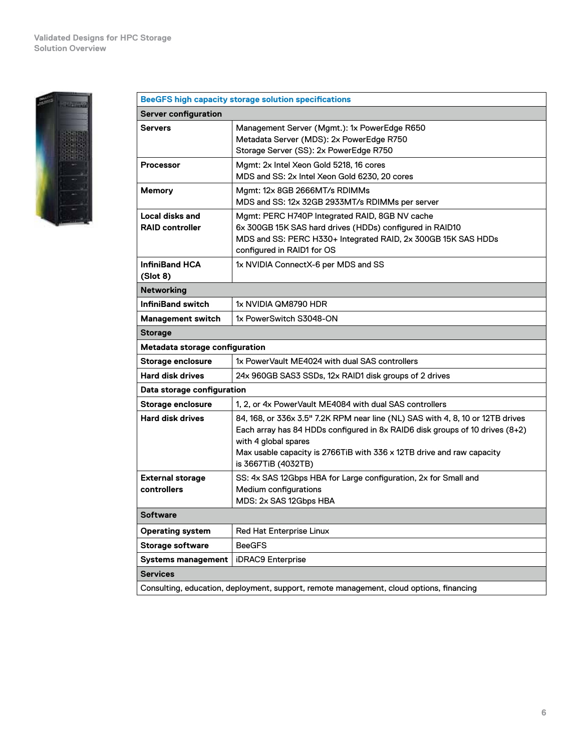

|                                           | <b>BeeGFS high capacity storage solution specifications</b>                                                                                                                                                                                                                            |  |
|-------------------------------------------|----------------------------------------------------------------------------------------------------------------------------------------------------------------------------------------------------------------------------------------------------------------------------------------|--|
| <b>Server configuration</b>               |                                                                                                                                                                                                                                                                                        |  |
| <b>Servers</b>                            | Management Server (Mgmt.): 1x PowerEdge R650<br>Metadata Server (MDS): 2x PowerEdge R750<br>Storage Server (SS): 2x PowerEdge R750                                                                                                                                                     |  |
| Processor                                 | Mgmt: 2x Intel Xeon Gold 5218, 16 cores<br>MDS and SS: 2x Intel Xeon Gold 6230, 20 cores                                                                                                                                                                                               |  |
| <b>Memory</b>                             | Mgmt: 12x 8GB 2666MT/s RDIMMs<br>MDS and SS: 12x 32GB 2933MT/s RDIMMs per server                                                                                                                                                                                                       |  |
| Local disks and<br><b>RAID controller</b> | Mgmt: PERC H740P Integrated RAID, 8GB NV cache<br>6x 300GB 15K SAS hard drives (HDDs) configured in RAID10<br>MDS and SS: PERC H330+ Integrated RAID, 2x 300GB 15K SAS HDDs<br>configured in RAID1 for OS                                                                              |  |
| <b>InfiniBand HCA</b><br>(Slot 8)         | 1x NVIDIA ConnectX-6 per MDS and SS                                                                                                                                                                                                                                                    |  |
| <b>Networking</b>                         |                                                                                                                                                                                                                                                                                        |  |
| <b>InfiniBand switch</b>                  | 1x NVIDIA QM8790 HDR                                                                                                                                                                                                                                                                   |  |
| <b>Management switch</b>                  | 1x PowerSwitch S3048-ON                                                                                                                                                                                                                                                                |  |
| <b>Storage</b>                            |                                                                                                                                                                                                                                                                                        |  |
| Metadata storage configuration            |                                                                                                                                                                                                                                                                                        |  |
| <b>Storage enclosure</b>                  | 1x PowerVault ME4024 with dual SAS controllers                                                                                                                                                                                                                                         |  |
| <b>Hard disk drives</b>                   | 24x 960GB SAS3 SSDs, 12x RAID1 disk groups of 2 drives                                                                                                                                                                                                                                 |  |
| Data storage configuration                |                                                                                                                                                                                                                                                                                        |  |
| <b>Storage enclosure</b>                  | 1, 2, or 4x PowerVault ME4084 with dual SAS controllers                                                                                                                                                                                                                                |  |
| <b>Hard disk drives</b>                   | 84, 168, or 336x 3.5" 7.2K RPM near line (NL) SAS with 4, 8, 10 or 12TB drives<br>Each array has 84 HDDs configured in 8x RAID6 disk groups of 10 drives (8+2)<br>with 4 global spares<br>Max usable capacity is 2766TiB with 336 x 12TB drive and raw capacity<br>is 3667TiB (4032TB) |  |
| <b>External storage</b><br>controllers    | SS: 4x SAS 12Gbps HBA for Large configuration, 2x for Small and<br>Medium configurations<br>MDS: 2x SAS 12Gbps HBA                                                                                                                                                                     |  |
| <b>Software</b>                           |                                                                                                                                                                                                                                                                                        |  |
| <b>Operating system</b>                   | Red Hat Enterprise Linux                                                                                                                                                                                                                                                               |  |
| <b>Storage software</b>                   | <b>BeeGFS</b>                                                                                                                                                                                                                                                                          |  |
| <b>Systems management</b>                 | iDRAC9 Enterprise                                                                                                                                                                                                                                                                      |  |
| <b>Services</b>                           |                                                                                                                                                                                                                                                                                        |  |
|                                           | Consulting, education, deployment, support, remote management, cloud options, financing                                                                                                                                                                                                |  |
|                                           |                                                                                                                                                                                                                                                                                        |  |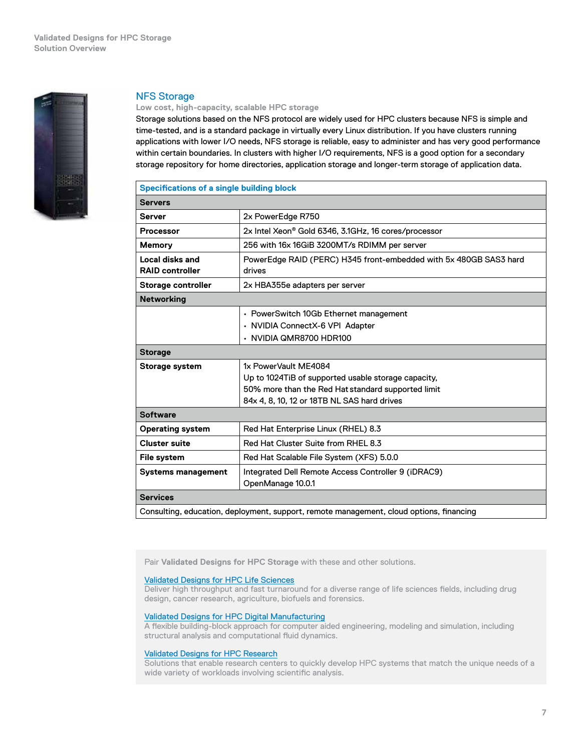<span id="page-6-0"></span>

#### NFS Storage

#### **Low cost, high‑capacity, scalable HPC storage**

Storage solutions based on the NFS protocol are widely used for HPC clusters because NFS is simple and time-tested, and is a standard package in virtually every Linux distribution. If you have clusters running applications with lower I/O needs, NFS storage is reliable, easy to administer and has very good performance within certain boundaries. In clusters with higher I/O requirements, NFS is a good option for a secondary storage repository for home directories, application storage and longer-term storage of application data.

| <b>Specifications of a single building block</b>                                        |                                                                             |  |  |  |
|-----------------------------------------------------------------------------------------|-----------------------------------------------------------------------------|--|--|--|
| <b>Servers</b>                                                                          |                                                                             |  |  |  |
| <b>Server</b>                                                                           | 2x PowerEdge R750                                                           |  |  |  |
| <b>Processor</b>                                                                        | 2x Intel Xeon® Gold 6346, 3.1GHz, 16 cores/processor                        |  |  |  |
| <b>Memory</b>                                                                           | 256 with 16x 16GiB 3200MT/s RDIMM per server                                |  |  |  |
| Local disks and<br><b>RAID controller</b>                                               | PowerEdge RAID (PERC) H345 front-embedded with 5x 480GB SAS3 hard<br>drives |  |  |  |
| Storage controller                                                                      | 2x HBA355e adapters per server                                              |  |  |  |
| <b>Networking</b>                                                                       |                                                                             |  |  |  |
|                                                                                         | • PowerSwitch 10Gb Ethernet management                                      |  |  |  |
|                                                                                         | · NVIDIA ConnectX-6 VPI Adapter                                             |  |  |  |
|                                                                                         | • NVIDIA QMR8700 HDR100                                                     |  |  |  |
| <b>Storage</b>                                                                          |                                                                             |  |  |  |
| <b>Storage system</b>                                                                   | 1x PowerVault ME4084                                                        |  |  |  |
|                                                                                         | Up to 1024TiB of supported usable storage capacity,                         |  |  |  |
|                                                                                         | 50% more than the Red Hat standard supported limit                          |  |  |  |
|                                                                                         | 84x 4, 8, 10, 12 or 18TB NL SAS hard drives                                 |  |  |  |
| <b>Software</b>                                                                         |                                                                             |  |  |  |
| <b>Operating system</b>                                                                 | Red Hat Enterprise Linux (RHEL) 8.3                                         |  |  |  |
| <b>Cluster suite</b>                                                                    | Red Hat Cluster Suite from RHEL 8.3                                         |  |  |  |
| File system                                                                             | Red Hat Scalable File System (XFS) 5.0.0                                    |  |  |  |
| <b>Systems management</b>                                                               | Integrated Dell Remote Access Controller 9 (iDRAC9)<br>OpenManage 10.0.1    |  |  |  |
| <b>Services</b>                                                                         |                                                                             |  |  |  |
| Consulting, education, deployment, support, remote management, cloud options, financing |                                                                             |  |  |  |

Pair **Validated Designs for HPC Storage** with these and other solutions.

#### Validated Design[s for HPC Life Sciences](https://www.delltechnologies.com/asset/en-us/products/ready-solutions/briefs-summaries/ready-bundle-for-hpc-life-sciences-solution-overview.pdf)

Deliver high throughput and fast turnaround for a diverse range of life sciences fields, including drug design, cancer research, agriculture, biofuels and forensics.

#### Validated Design[s for HPC Digital Manufacturing](https://www.delltechnologies.com/asset/en-us/products/ready-solutions/briefs-summaries/ready-bundle-for-hpc-digital-mftg-solution-overview.pdf)

A flexible building‑block approach for computer aided engineering, modeling and simulation, including structural analysis and computational fluid dynamics.

#### Validated Designs [for HPC Research](https://www.delltechnologies.com/asset/en-us/products/ready-solutions/briefs-summaries/ready-bundle-for-hpc-research-solution-overview.pdf)

Solutions that enable research centers to quickly develop HPC systems that match the unique needs of a wide variety of workloads involving scientific analysis.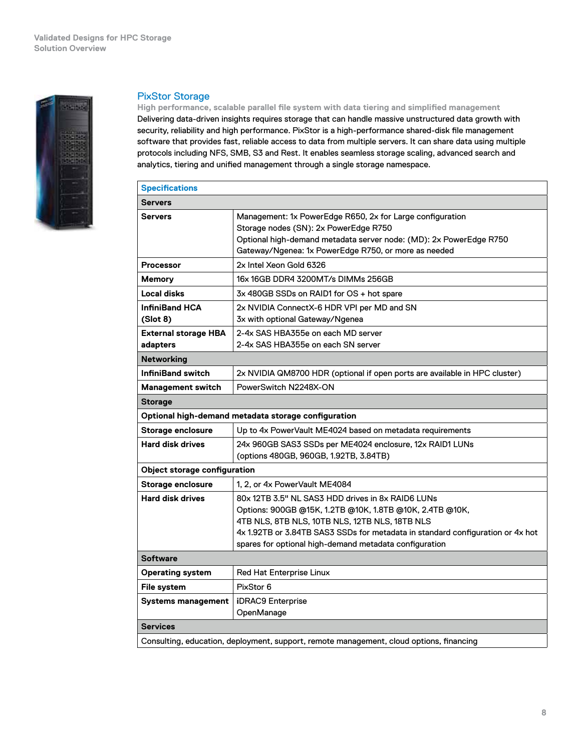<span id="page-7-0"></span>

#### PixStor Storage

**High performance, scalable parallel file system with data tiering and simplified management** Delivering data‑driven insights requires storage that can handle massive unstructured data growth with security, reliability and high performance. PixStor is a high-performance shared-disk file management software that provides fast, reliable access to data from multiple servers. It can share data using multiple protocols including NFS, SMB, S3 and Rest. It enables seamless storage scaling, advanced search and analytics, tiering and unified management through a single storage namespace.

| <b>Specifications</b>                   |                                                                                                                                                                                                                                                                                                             |  |  |  |
|-----------------------------------------|-------------------------------------------------------------------------------------------------------------------------------------------------------------------------------------------------------------------------------------------------------------------------------------------------------------|--|--|--|
| <b>Servers</b>                          |                                                                                                                                                                                                                                                                                                             |  |  |  |
| <b>Servers</b>                          | Management: 1x PowerEdge R650, 2x for Large configuration<br>Storage nodes (SN): 2x PowerEdge R750<br>Optional high-demand metadata server node: (MD): 2x PowerEdge R750<br>Gateway/Ngenea: 1x PowerEdge R750, or more as needed                                                                            |  |  |  |
| <b>Processor</b>                        | 2x Intel Xeon Gold 6326                                                                                                                                                                                                                                                                                     |  |  |  |
| <b>Memory</b>                           | 16x 16GB DDR4 3200MT/s DIMMs 256GB                                                                                                                                                                                                                                                                          |  |  |  |
| <b>Local disks</b>                      | 3x 480GB SSDs on RAID1 for OS + hot spare                                                                                                                                                                                                                                                                   |  |  |  |
| <b>InfiniBand HCA</b><br>(Slot 8)       | 2x NVIDIA ConnectX-6 HDR VPI per MD and SN<br>3x with optional Gateway/Ngenea                                                                                                                                                                                                                               |  |  |  |
| <b>External storage HBA</b><br>adapters | 2-4x SAS HBA355e on each MD server<br>2-4x SAS HBA355e on each SN server                                                                                                                                                                                                                                    |  |  |  |
| <b>Networking</b>                       |                                                                                                                                                                                                                                                                                                             |  |  |  |
| <b>InfiniBand switch</b>                | 2x NVIDIA QM8700 HDR (optional if open ports are available in HPC cluster)                                                                                                                                                                                                                                  |  |  |  |
| <b>Management switch</b>                | PowerSwitch N2248X-ON                                                                                                                                                                                                                                                                                       |  |  |  |
| <b>Storage</b>                          |                                                                                                                                                                                                                                                                                                             |  |  |  |
|                                         | Optional high-demand metadata storage configuration                                                                                                                                                                                                                                                         |  |  |  |
| Storage enclosure                       | Up to 4x PowerVault ME4024 based on metadata requirements                                                                                                                                                                                                                                                   |  |  |  |
| <b>Hard disk drives</b>                 | 24x 960GB SAS3 SSDs per ME4024 enclosure, 12x RAID1 LUNs<br>(options 480GB, 960GB, 1.92TB, 3.84TB)                                                                                                                                                                                                          |  |  |  |
| Object storage configuration            |                                                                                                                                                                                                                                                                                                             |  |  |  |
| Storage enclosure                       | 1.2. or 4x PowerVault ME4084                                                                                                                                                                                                                                                                                |  |  |  |
| <b>Hard disk drives</b>                 | 80x 12TB 3.5" NL SAS3 HDD drives in 8x RAID6 LUNs<br>Options: 900GB @15K, 1.2TB @10K, 1.8TB @10K, 2.4TB @10K,<br>4TB NLS, 8TB NLS, 10TB NLS, 12TB NLS, 18TB NLS<br>4x 1.92TB or 3.84TB SAS3 SSDs for metadata in standard configuration or 4x hot<br>spares for optional high-demand metadata configuration |  |  |  |
| <b>Software</b>                         |                                                                                                                                                                                                                                                                                                             |  |  |  |
| <b>Operating system</b>                 | Red Hat Enterprise Linux                                                                                                                                                                                                                                                                                    |  |  |  |
| File system                             | PixStor 6                                                                                                                                                                                                                                                                                                   |  |  |  |
| <b>Systems management</b>               | <b>iDRAC9</b> Enterprise<br>OpenManage                                                                                                                                                                                                                                                                      |  |  |  |
| <b>Services</b>                         |                                                                                                                                                                                                                                                                                                             |  |  |  |
|                                         | Consulting, education, deployment, support, remote management, cloud options, financing                                                                                                                                                                                                                     |  |  |  |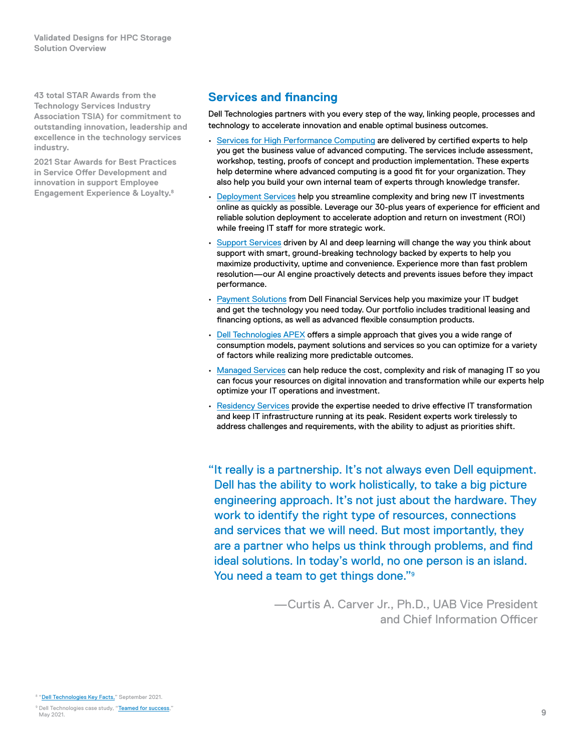<span id="page-8-0"></span>**43 total STAR Awards from the Technology Services Industry Association TSIA) for commitment to outstanding innovation, leadership and excellence in the technology services industry.**

**2021 Star Awards for Best Practices in Service Offer Development and innovation in support Employee Engagement Experience & Loyalty.8**

## **Services and financing**

Dell Technologies partners with you every step of the way, linking people, processes and technology to accelerate innovation and enable optimal business outcomes.

- [Services for High Performance Computing](https://www.delltechnologies.com/en-us/solutions/high-performance-computing/services/index.htm) are delivered by certified experts to help you get the business value of advanced computing. The services include assessment, workshop, testing, proofs of concept and production implementation. These experts help determine where advanced computing is a good fit for your organization. They also help you build your own internal team of experts through knowledge transfer.
- [Deployment Services](https://www.delltechnologies.com/en-us/services/deployment-services/index.htm#scroll=off) help you streamline complexity and bring new IT investments online as quickly as possible. Leverage our 30-plus years of experience for efficient and reliable solution deployment to accelerate adoption and return on investment (ROI) while freeing IT staff for more strategic work.
- [Support Services](https://www.delltechnologies.com/en-us/services/support-services/index.htm) driven by AI and deep learning will change the way you think about support with smart, ground-breaking technology backed by experts to help you maximize productivity, uptime and convenience. Experience more than fast problem resolution—our AI engine proactively detects and prevents issues before they impact performance.
- [Payment Solutions](https://www.delltechnologies.com/en-us/payment-solutions/index.htm#scroll=off) from Dell Financial Services help you maximize your IT budget and get the technology you need today. Our portfolio includes traditional leasing and financing options, as well as advanced flexible consumption products.
- [Dell Technologies APEX](https://www.delltechnologies.com/en-us/solutions/dell-technologies-on-demand.htm#scroll=off) offers a simple approach that gives you a wide range of consumption models, payment solutions and services so you can optimize for a variety of factors while realizing more predictable outcomes.
- [Managed Services](https://www.delltechnologies.com/en-us/services/managed-services/index.htm) can help reduce the cost, complexity and risk of managing IT so you can focus your resources on digital innovation and transformation while our experts help optimize your IT operations and investment.
- [Residency Services](https://www.delltechnologies.com/en-us/services/deployment-services/residency-services.htm#scroll=off) provide the expertise needed to drive effective IT transformation and keep IT infrastructure running at its peak. Resident experts work tirelessly to address challenges and requirements, with the ability to adjust as priorities shift.

"It really is a partnership. It's not always even Dell equipment. Dell has the ability to work holistically, to take a big picture engineering approach. It's not just about the hardware. They work to identify the right type of resources, connections and services that we will need. But most importantly, they are a partner who helps us think through problems, and find ideal solutions. In today's world, no one person is an island. You need a team to get things done."<sup>9</sup>

> —Curtis A. Carver Jr., Ph.D., UAB Vice President and Chief Information Officer

<sup>8 &</sup>quot;[Dell Technologies Key Facts,"](https://www.delltechnologies.com/asset/en-us/solutions/business-solutions/briefs-summaries/key_facts_about_dell_technologies.pdf) September 2021.

<sup>&</sup>lt;sup>9</sup> Dell Technologies case study, "**Teamed for success**," May 2021.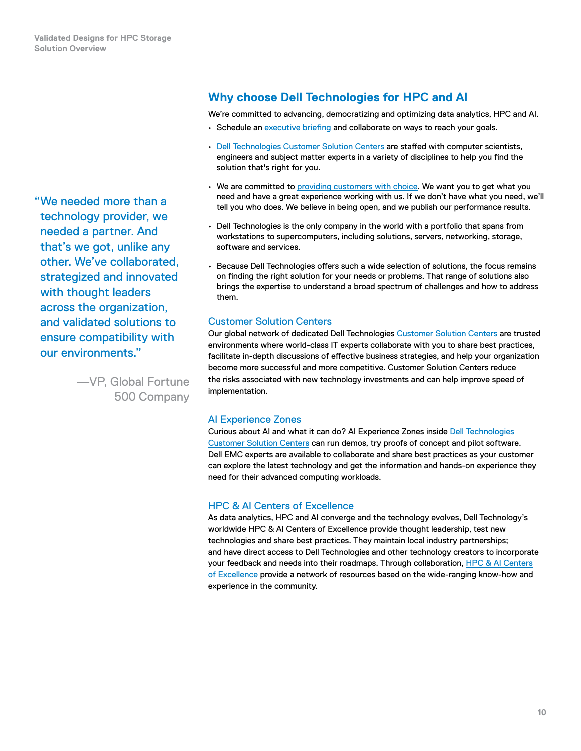<span id="page-9-0"></span>"We needed more than a technology provider, we needed a partner. And that's we got, unlike any other. We've collaborated, strategized and innovated with thought leaders across the organization, and validated solutions to ensure compatibility with our environments."

> —VP, Global Fortune 500 Company

## **Why choose Dell Technologies for HPC and AI**

We're committed to advancing, democratizing and optimizing data analytics, HPC and AI.

- Schedule an [executive briefing](https://www.delltechnologies.com/en-us/what-we-do/customer-engagement-programs/executive_briefing_program.htm) and collaborate on ways to reach your goals.
- [Dell Technologies Customer Solution Centers](http://delltechnologies.com/csc) are staffed with computer scientists, engineers and subject matter experts in a variety of disciplines to help you find the solution that's right for you.
- We are committed to [providing customers with choice](https://www.delltechnologies.com/en-us/press/open-letter-to-customers-and-partners.htm). We want you to get what you need and have a great experience working with us. If we don't have what you need, we'll tell you who does. We believe in being open, and we publish our performance results.
- Dell Technologies is the only company in the world with a portfolio that spans from workstations to supercomputers, including solutions, servers, networking, storage, software and services.
- Because Dell Technologies offers such a wide selection of solutions, the focus remains on finding the right solution for your needs or problems. That range of solutions also brings the expertise to understand a broad spectrum of challenges and how to address them.

#### Customer Solution Centers

Our global network of dedicated Dell Technologies [Customer Solution Centers](http://delltechnologies.com/csc) are trusted environments where world-class IT experts collaborate with you to share best practices, facilitate in‑depth discussions of effective business strategies, and help your organization become more successful and more competitive. Customer Solution Centers reduce the risks associated with new technology investments and can help improve speed of implementation.

### AI Experience Zones

Curious about AI and what it can do? AI Experience Zones inside [Dell Technologies](http://delltechnologies.com/csc) [Customer Solution Centers](http://delltechnologies.com/csc) can run demos, try proofs of concept and pilot software. Dell EMC experts are available to collaborate and share best practices as your customer can explore the latest technology and get the information and hands‑on experience they need for their advanced computing workloads.

#### HPC & AI Centers of Excellence

As data analytics, HPC and AI converge and the technology evolves, Dell Technology's worldwide HPC & AI Centers of Excellence provide thought leadership, test new technologies and share best practices. They maintain local industry partnerships; and have direct access to Dell Technologies and other technology creators to incorporate your feedback and needs into their roadmaps. Through collaboration, [HPC & AI Centers](http://delltechnologies.com/coe) [of Excellence](http://delltechnologies.com/coe) provide a network of resources based on the wide-ranging know-how and experience in the community.